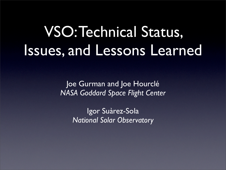# VSO:Technical Status, Issues, and Lessons Learned

Joe Gurman and Joe Hourclé *NASA Goddard Space Flight Center*

> Igor Suàrez-Sola *National Solar Observatory*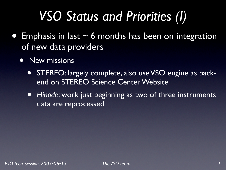## *VSO Status and Priorities (I)*

- Emphasis in last  $\sim$  6 months has been on integration of new data providers
	- New missions
		- STEREO: largely complete, also use VSO engine as backend on STEREO Science Center Website
		- *• Hinode*: work just beginning as two of three instruments data are reprocessed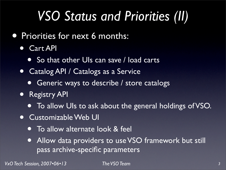## *VSO Status and Priorities (II)*

- **Priorities for next 6 months:** 
	- *•* Cart API
		- So that other UIs can save / load carts
	- *•* Catalog API / Catalogs as a Service
		- *•* Generic ways to describe / store catalogs
	- *•* Registry API
		- *•* To allow UIs to ask about the general holdings of VSO.
	- *•* Customizable Web UI
		- *•* To allow alternate look & feel
		- *•* Allow data providers to use VSO framework but still pass archive-specific parameters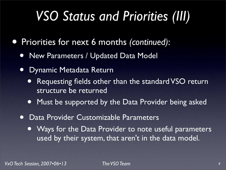## *VSO Status and Priorities (III)*

- *•* Priorities for next 6 months *(continued)*:
	- *•* New Parameters / Updated Data Model
	- *•* Dynamic Metadata Return
		- *•* Requesting fields other than the standard VSO return structure be returned
		- *•* Must be supported by the Data Provider being asked
	- *•* Data Provider Customizable Parameters
		- *•* Ways for the Data Provider to note useful parameters used by their system, that aren't in the data model.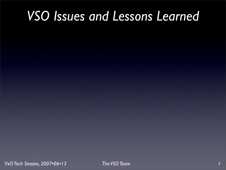### *VSO Issues and Lessons Learned*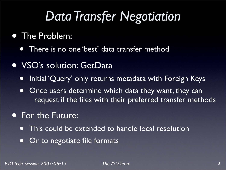### *Data Transfer Negotiation*

#### • The Problem:

- There is no one 'best' data transfer method
- VSO's solution: GetData
	- Initial 'Query' only returns metadata with Foreign Keys
	- Once users determine which data they want, they can request if the files with their preferred transfer methods

#### **• For the Future:**

- This could be extended to handle local resolution
- Or to negotiate file formats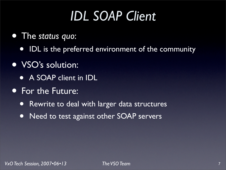## *IDL SOAP Client*

- The *status quo*:
	- IDL is the preferred environment of the community
- VSO's solution:
	- A SOAP client in IDL
- For the Future:
	- Rewrite to deal with larger data structures
	- Need to test against other SOAP servers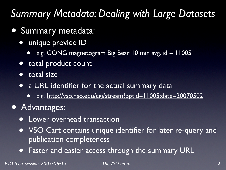#### *Summary Metadata: Dealing with Large Datasets*

- Summary metadata:
	- unique provide ID
		- *• e.g.* GONG magnetogram Big Bear 10 min avg. id = 11005
	- total product count
	- total size
	- a URL identifier for the actual summary data
		- *• e.g.* <http://vso.nso.edu/cgi/stream?pptid=11005;date=20070502>
- Advantages:
	- Lower overhead transaction
	- VSO Cart contains unique identifier for later re-query and publication completeness
	- Faster and easier access through the summary URL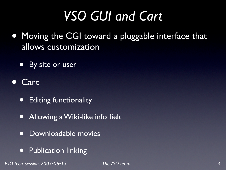## *VSO GUI and Cart*

- Moving the CGI toward a pluggable interface that allows customization
	- By site or user
- **Cart** 
	- Editing functionality
	- Allowing a Wiki-like info field
	- Downloadable movies
	- **•** Publication linking